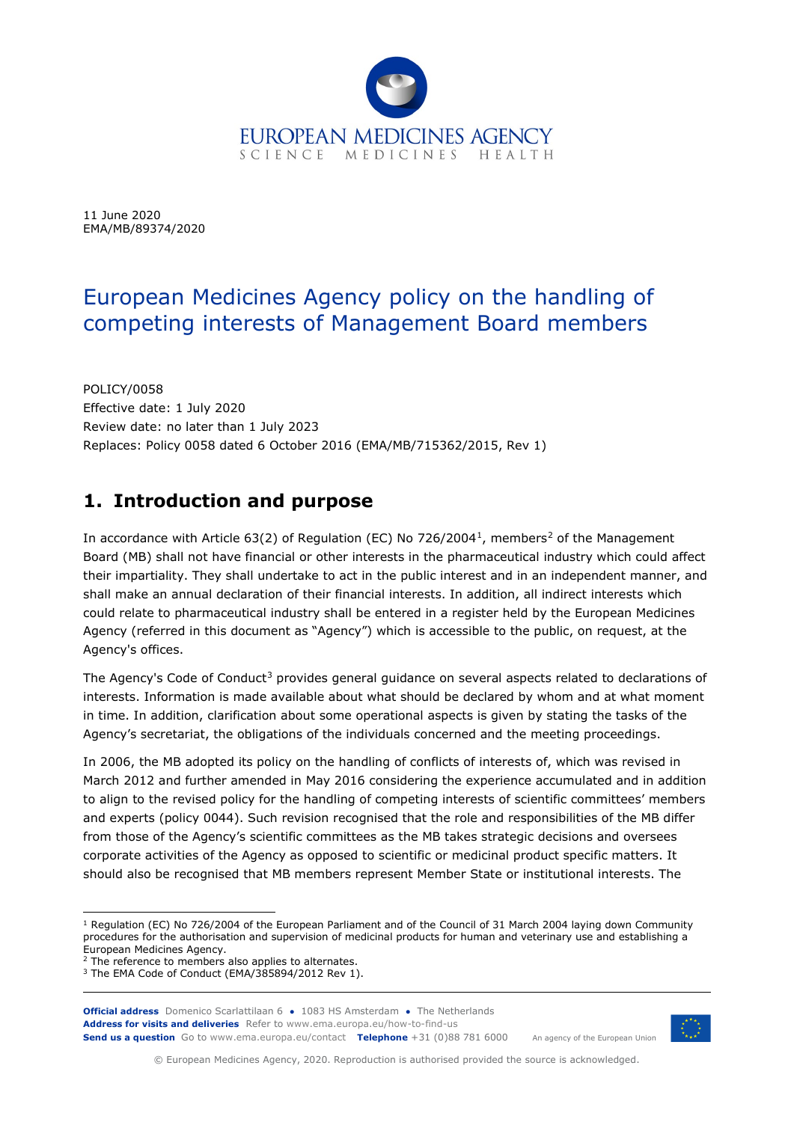

11 June 2020 EMA/MB/89374/2020

# European Medicines Agency policy on the handling of competing interests of Management Board members

POLICY/0058 Effective date: 1 July 2020 Review date: no later than 1 July 2023 Replaces: Policy 0058 dated 6 October 2016 (EMA/MB/715362/2015, Rev 1)

# **1. Introduction and purpose**

In accordance with Article 63([2](#page-0-1)) of Regulation (EC) No 726/2004<sup>1</sup>, members<sup>2</sup> of the Management Board (MB) shall not have financial or other interests in the pharmaceutical industry which could affect their impartiality. They shall undertake to act in the public interest and in an independent manner, and shall make an annual declaration of their financial interests. In addition, all indirect interests which could relate to pharmaceutical industry shall be entered in a register held by the European Medicines Agency (referred in this document as "Agency") which is accessible to the public, on request, at the Agency's offices.

The Agency's Code of Conduct<sup>[3](#page-0-2)</sup> provides general guidance on several aspects related to declarations of interests. Information is made available about what should be declared by whom and at what moment in time. In addition, clarification about some operational aspects is given by stating the tasks of the Agency's secretariat, the obligations of the individuals concerned and the meeting proceedings.

In 2006, the MB adopted its policy on the handling of conflicts of interests of, which was revised in March 2012 and further amended in May 2016 considering the experience accumulated and in addition to align to the revised policy for the handling of competing interests of scientific committees' members and experts (policy 0044). Such revision recognised that the role and responsibilities of the MB differ from those of the Agency's scientific committees as the MB takes strategic decisions and oversees corporate activities of the Agency as opposed to scientific or medicinal product specific matters. It should also be recognised that MB members represent Member State or institutional interests. The

**Official address** Domenico Scarlattilaan 6 **●** 1083 HS Amsterdam **●** The Netherlands An agency of the European Union **Address for visits and deliveries** Refer to www.ema.europa.eu/how-to-find-us **Send us a question** Go to www.ema.europa.eu/contact **Telephone** +31 (0)88 781 6000



© European Medicines Agency, 2020. Reproduction is authorised provided the source is acknowledged.

<span id="page-0-0"></span> $1$  Regulation (EC) No 726/2004 of the European Parliament and of the Council of 31 March 2004 laying down Community procedures for the authorisation and supervision of medicinal products for human and veterinary use and establishing a European Medicines Agency.

<span id="page-0-1"></span><sup>&</sup>lt;sup>2</sup> The reference to members also applies to alternates.

<span id="page-0-2"></span><sup>3</sup> The EMA Code of Conduct (EMA/385894/2012 Rev 1).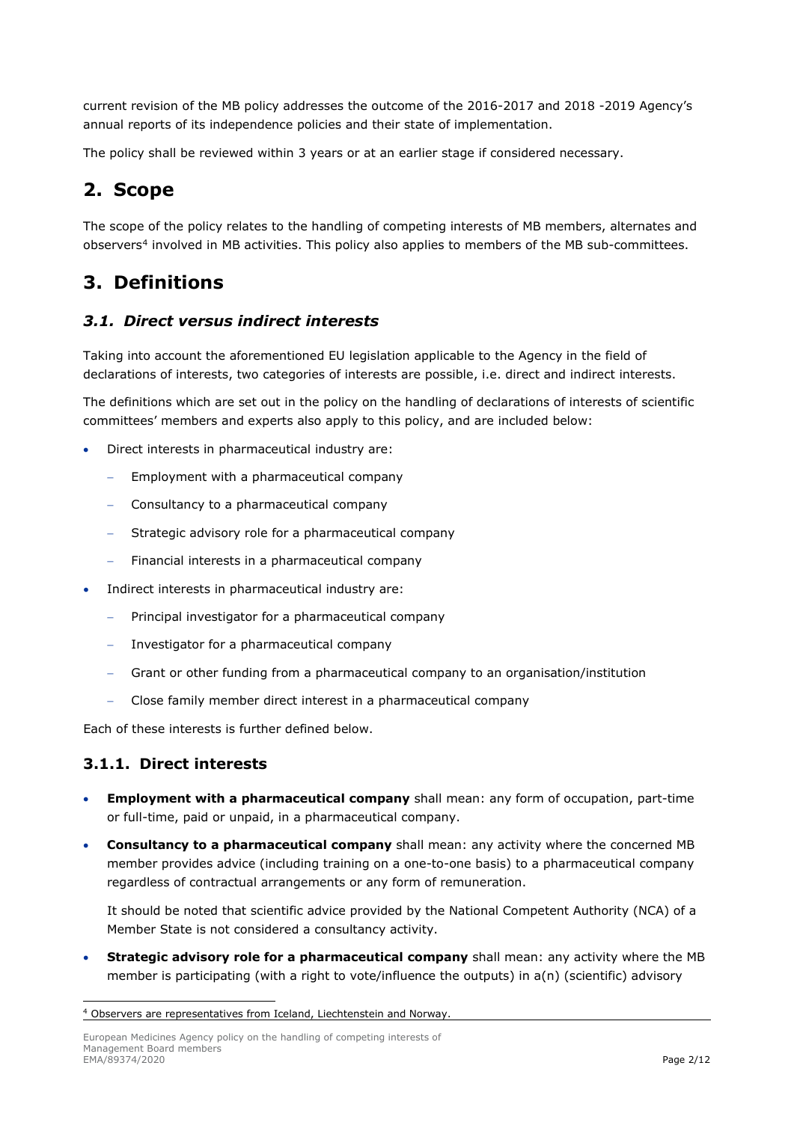current revision of the MB policy addresses the outcome of the 2016-2017 and 2018 -2019 Agency's annual reports of its independence policies and their state of implementation.

The policy shall be reviewed within 3 years or at an earlier stage if considered necessary.

# **2. Scope**

The scope of the policy relates to the handling of competing interests of MB members, alternates and observers[4](#page-1-0) involved in MB activities. This policy also applies to members of the MB sub-committees.

# **3. Definitions**

### *3.1. Direct versus indirect interests*

Taking into account the aforementioned EU legislation applicable to the Agency in the field of declarations of interests, two categories of interests are possible, i.e. direct and indirect interests.

The definitions which are set out in the policy on the handling of declarations of interests of scientific committees' members and experts also apply to this policy, and are included below:

- Direct interests in pharmaceutical industry are:
	- Employment with a pharmaceutical company
	- − Consultancy to a pharmaceutical company
	- − Strategic advisory role for a pharmaceutical company
	- − Financial interests in a pharmaceutical company
- Indirect interests in pharmaceutical industry are:
	- − Principal investigator for a pharmaceutical company
	- − Investigator for a pharmaceutical company
	- − Grant or other funding from a pharmaceutical company to an organisation/institution
	- − Close family member direct interest in a pharmaceutical company

Each of these interests is further defined below.

#### **3.1.1. Direct interests**

- **Employment with a pharmaceutical company** shall mean: any form of occupation, part-time or full-time, paid or unpaid, in a pharmaceutical company.
- **Consultancy to a pharmaceutical company** shall mean: any activity where the concerned MB member provides advice (including training on a one-to-one basis) to a pharmaceutical company regardless of contractual arrangements or any form of remuneration.

It should be noted that scientific advice provided by the National Competent Authority (NCA) of a Member State is not considered a consultancy activity.

• **Strategic advisory role for a pharmaceutical company** shall mean: any activity where the MB member is participating (with a right to vote/influence the outputs) in a(n) (scientific) advisory

<span id="page-1-0"></span><sup>4</sup> Observers are representatives from Iceland, Liechtenstein and Norway.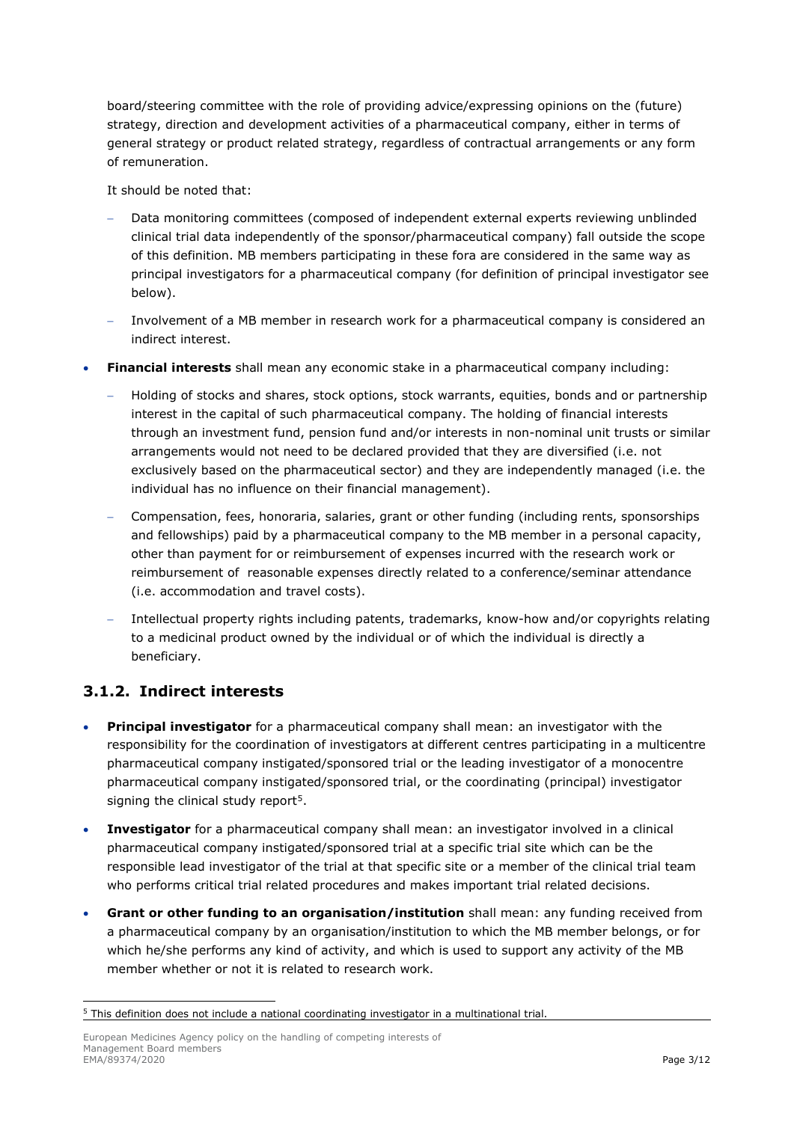board/steering committee with the role of providing advice/expressing opinions on the (future) strategy, direction and development activities of a pharmaceutical company, either in terms of general strategy or product related strategy, regardless of contractual arrangements or any form of remuneration.

It should be noted that:

- − Data monitoring committees (composed of independent external experts reviewing unblinded clinical trial data independently of the sponsor/pharmaceutical company) fall outside the scope of this definition. MB members participating in these fora are considered in the same way as principal investigators for a pharmaceutical company (for definition of principal investigator see below).
- Involvement of a MB member in research work for a pharmaceutical company is considered an indirect interest.
- **Financial interests** shall mean any economic stake in a pharmaceutical company including:
	- − Holding of stocks and shares, stock options, stock warrants, equities, bonds and or partnership interest in the capital of such pharmaceutical company. The holding of financial interests through an investment fund, pension fund and/or interests in non-nominal unit trusts or similar arrangements would not need to be declared provided that they are diversified (i.e. not exclusively based on the pharmaceutical sector) and they are independently managed (i.e. the individual has no influence on their financial management).
	- − Compensation, fees, honoraria, salaries, grant or other funding (including rents, sponsorships and fellowships) paid by a pharmaceutical company to the MB member in a personal capacity, other than payment for or reimbursement of expenses incurred with the research work or reimbursement of reasonable expenses directly related to a conference/seminar attendance (i.e. accommodation and travel costs).
	- − Intellectual property rights including patents, trademarks, know-how and/or copyrights relating to a medicinal product owned by the individual or of which the individual is directly a beneficiary.

## **3.1.2. Indirect interests**

- **Principal investigator** for a pharmaceutical company shall mean: an investigator with the responsibility for the coordination of investigators at different centres participating in a multicentre pharmaceutical company instigated/sponsored trial or the leading investigator of a monocentre pharmaceutical company instigated/sponsored trial, or the coordinating (principal) investigator signing the clinical study report<sup>[5](#page-2-0)</sup>.
- **Investigator** for a pharmaceutical company shall mean: an investigator involved in a clinical pharmaceutical company instigated/sponsored trial at a specific trial site which can be the responsible lead investigator of the trial at that specific site or a member of the clinical trial team who performs critical trial related procedures and makes important trial related decisions.
- **Grant or other funding to an organisation/institution** shall mean: any funding received from a pharmaceutical company by an organisation/institution to which the MB member belongs, or for which he/she performs any kind of activity, and which is used to support any activity of the MB member whether or not it is related to research work.

<span id="page-2-0"></span><sup>&</sup>lt;sup>5</sup> This definition does not include a national coordinating investigator in a multinational trial.

European Medicines Agency policy on the handling of competing interests of Management Board members<br>EMA/89374/2020 EMA/89374/2020 Page 3/12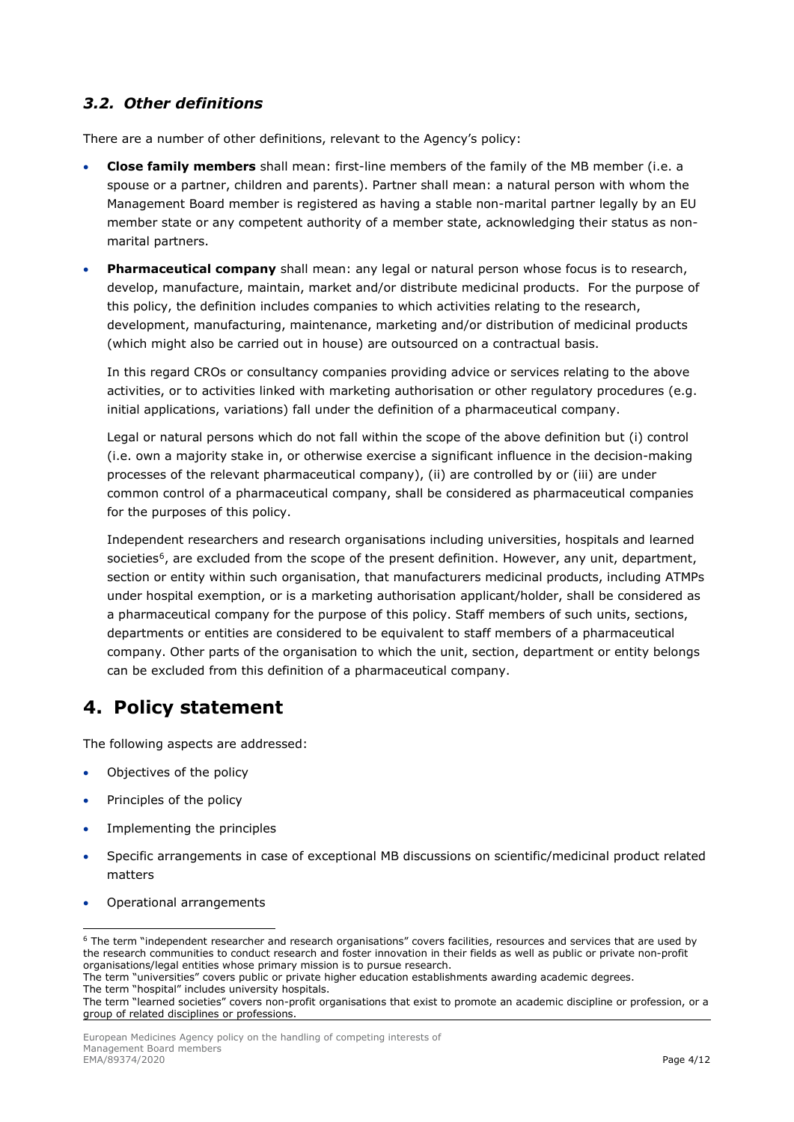## *3.2. Other definitions*

There are a number of other definitions, relevant to the Agency's policy:

- **Close family members** shall mean: first-line members of the family of the MB member (i.e. a spouse or a partner, children and parents). Partner shall mean: a natural person with whom the Management Board member is registered as having a stable non-marital partner legally by an EU member state or any competent authority of a member state, acknowledging their status as nonmarital partners.
- **Pharmaceutical company** shall mean: any legal or natural person whose focus is to research, develop, manufacture, maintain, market and/or distribute medicinal products. For the purpose of this policy, the definition includes companies to which activities relating to the research, development, manufacturing, maintenance, marketing and/or distribution of medicinal products (which might also be carried out in house) are outsourced on a contractual basis.

In this regard CROs or consultancy companies providing advice or services relating to the above activities, or to activities linked with marketing authorisation or other regulatory procedures (e.g. initial applications, variations) fall under the definition of a pharmaceutical company.

Legal or natural persons which do not fall within the scope of the above definition but (i) control (i.e. own a majority stake in, or otherwise exercise a significant influence in the decision-making processes of the relevant pharmaceutical company), (ii) are controlled by or (iii) are under common control of a pharmaceutical company, shall be considered as pharmaceutical companies for the purposes of this policy.

Independent researchers and research organisations including universities, hospitals and learned societies<sup>[6](#page-3-0)</sup>, are excluded from the scope of the present definition. However, any unit, department, section or entity within such organisation, that manufacturers medicinal products, including ATMPs under hospital exemption, or is a marketing authorisation applicant/holder, shall be considered as a pharmaceutical company for the purpose of this policy. Staff members of such units, sections, departments or entities are considered to be equivalent to staff members of a pharmaceutical company. Other parts of the organisation to which the unit, section, department or entity belongs can be excluded from this definition of a pharmaceutical company.

# **4. Policy statement**

The following aspects are addressed:

- Objectives of the policy
- Principles of the policy
- Implementing the principles
- Specific arrangements in case of exceptional MB discussions on scientific/medicinal product related matters
- Operational arrangements

The term "hospital" includes university hospitals.

<span id="page-3-0"></span><sup>6</sup> The term "independent researcher and research organisations" covers facilities, resources and services that are used by the research communities to conduct research and foster innovation in their fields as well as public or private non-profit organisations/legal entities whose primary mission is to pursue research.

The term "universities" covers public or private higher education establishments awarding academic degrees.

The term "learned societies" covers non-profit organisations that exist to promote an academic discipline or profession, or a group of related disciplines or professions.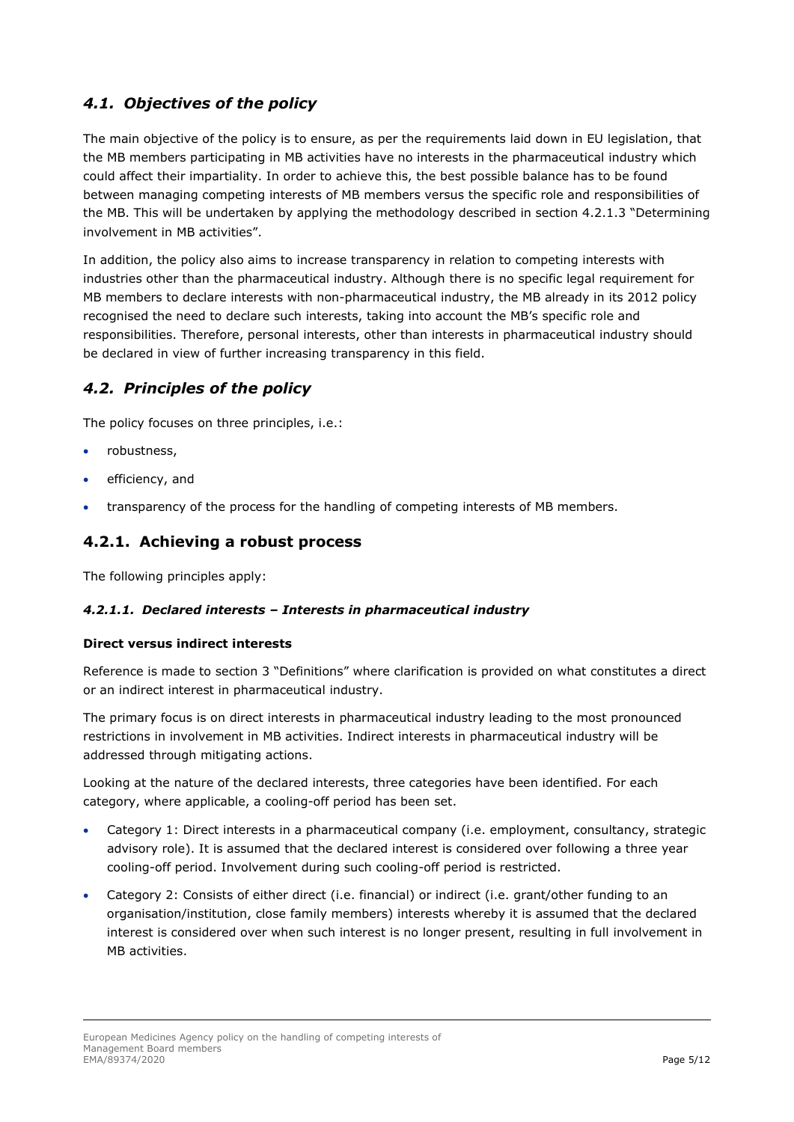## *4.1. Objectives of the policy*

The main objective of the policy is to ensure, as per the requirements laid down in EU legislation, that the MB members participating in MB activities have no interests in the pharmaceutical industry which could affect their impartiality. In order to achieve this, the best possible balance has to be found between managing competing interests of MB members versus the specific role and responsibilities of the MB. This will be undertaken by applying the methodology described in section 4.2.1.3 "Determining involvement in MB activities".

In addition, the policy also aims to increase transparency in relation to competing interests with industries other than the pharmaceutical industry. Although there is no specific legal requirement for MB members to declare interests with non-pharmaceutical industry, the MB already in its 2012 policy recognised the need to declare such interests, taking into account the MB's specific role and responsibilities. Therefore, personal interests, other than interests in pharmaceutical industry should be declared in view of further increasing transparency in this field.

## *4.2. Principles of the policy*

The policy focuses on three principles, i.e.:

- robustness,
- efficiency, and
- transparency of the process for the handling of competing interests of MB members.

## **4.2.1. Achieving a robust process**

The following principles apply:

#### *4.2.1.1. Declared interests – Interests in pharmaceutical industry*

#### **Direct versus indirect interests**

Reference is made to section 3 "Definitions" where clarification is provided on what constitutes a direct or an indirect interest in pharmaceutical industry.

The primary focus is on direct interests in pharmaceutical industry leading to the most pronounced restrictions in involvement in MB activities. Indirect interests in pharmaceutical industry will be addressed through mitigating actions.

Looking at the nature of the declared interests, three categories have been identified. For each category, where applicable, a cooling-off period has been set.

- Category 1: Direct interests in a pharmaceutical company (i.e. employment, consultancy, strategic advisory role). It is assumed that the declared interest is considered over following a three year cooling-off period. Involvement during such cooling-off period is restricted.
- Category 2: Consists of either direct (i.e. financial) or indirect (i.e. grant/other funding to an organisation/institution, close family members) interests whereby it is assumed that the declared interest is considered over when such interest is no longer present, resulting in full involvement in MB activities.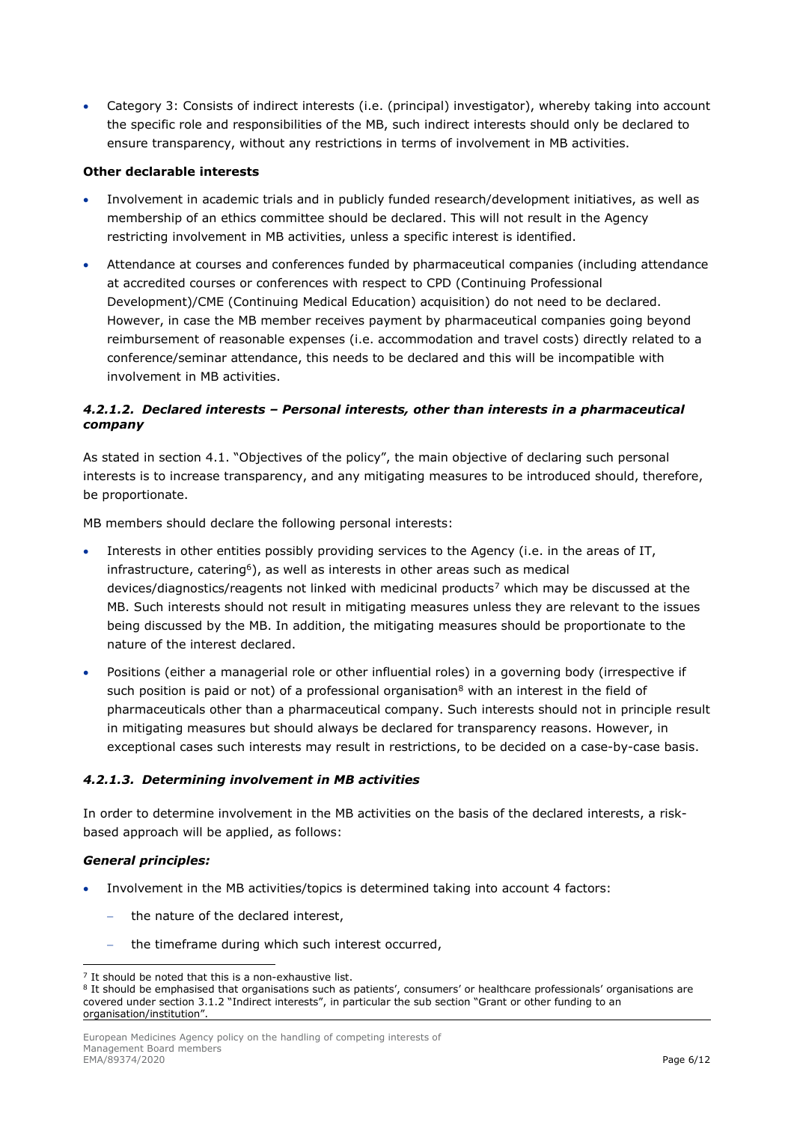Category 3: Consists of indirect interests (i.e. (principal) investigator), whereby taking into account the specific role and responsibilities of the MB, such indirect interests should only be declared to ensure transparency, without any restrictions in terms of involvement in MB activities.

#### **Other declarable interests**

- Involvement in academic trials and in publicly funded research/development initiatives, as well as membership of an ethics committee should be declared. This will not result in the Agency restricting involvement in MB activities, unless a specific interest is identified.
- Attendance at courses and conferences funded by pharmaceutical companies (including attendance at accredited courses or conferences with respect to CPD (Continuing Professional Development)/CME (Continuing Medical Education) acquisition) do not need to be declared. However, in case the MB member receives payment by pharmaceutical companies going beyond reimbursement of reasonable expenses (i.e. accommodation and travel costs) directly related to a conference/seminar attendance, this needs to be declared and this will be incompatible with involvement in MB activities.

#### *4.2.1.2. Declared interests – Personal interests, other than interests in a pharmaceutical company*

As stated in section 4.1. "Objectives of the policy", the main objective of declaring such personal interests is to increase transparency, and any mitigating measures to be introduced should, therefore, be proportionate.

MB members should declare the following personal interests:

- Interests in other entities possibly providing services to the Agency (i.e. in the areas of IT, infrastructure, catering<sup>6</sup>), as well as interests in other areas such as medical devices/diagnostics/reagents not linked with medicinal products<sup>[7](#page-5-0)</sup> which may be discussed at the MB. Such interests should not result in mitigating measures unless they are relevant to the issues being discussed by the MB. In addition, the mitigating measures should be proportionate to the nature of the interest declared.
- Positions (either a managerial role or other influential roles) in a governing body (irrespective if such position is paid or not) of a professional organisation<sup>[8](#page-5-1)</sup> with an interest in the field of pharmaceuticals other than a pharmaceutical company. Such interests should not in principle result in mitigating measures but should always be declared for transparency reasons. However, in exceptional cases such interests may result in restrictions, to be decided on a case-by-case basis.

#### *4.2.1.3. Determining involvement in MB activities*

In order to determine involvement in the MB activities on the basis of the declared interests, a riskbased approach will be applied, as follows:

#### *General principles:*

- Involvement in the MB activities/topics is determined taking into account 4 factors:
	- the nature of the declared interest,
	- the timeframe during which such interest occurred,

 $7$  It should be noted that this is a non-exhaustive list.

<span id="page-5-1"></span><span id="page-5-0"></span><sup>8</sup> It should be emphasised that organisations such as patients', consumers' or healthcare professionals' organisations are covered under section 3.1.2 "Indirect interests", in particular the sub section "Grant or other funding to an organisation/institution".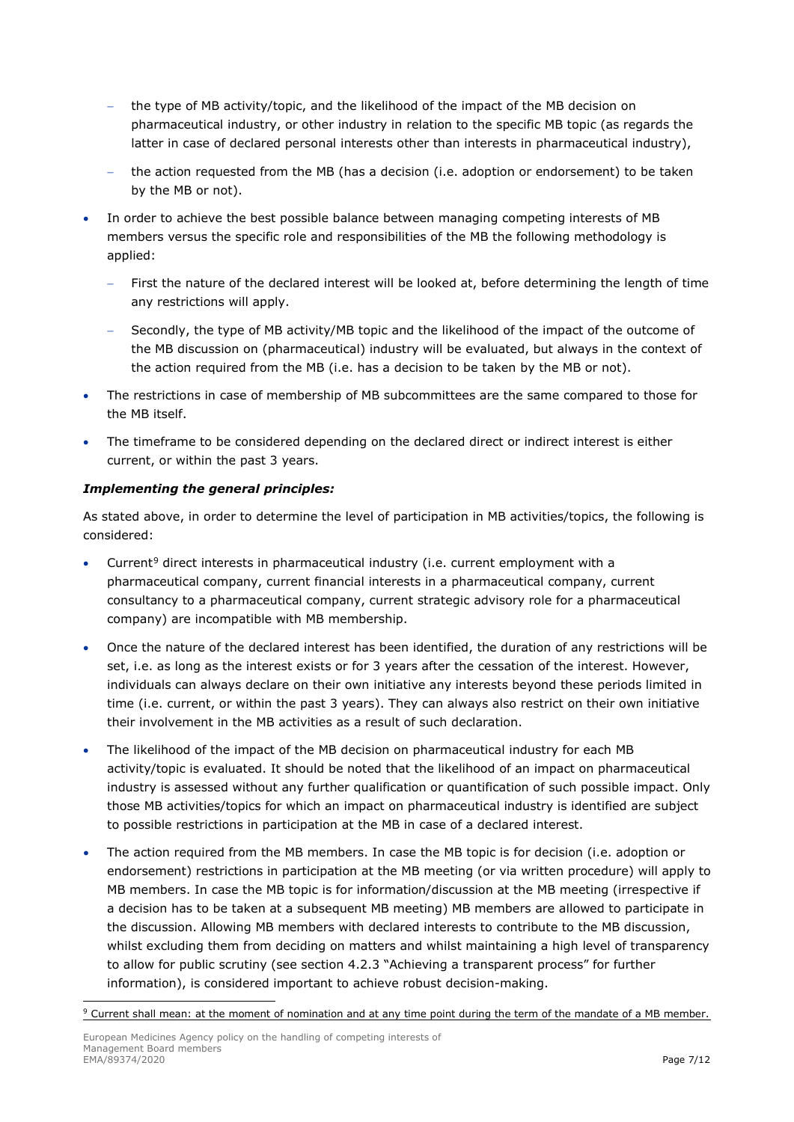- the type of MB activity/topic, and the likelihood of the impact of the MB decision on pharmaceutical industry, or other industry in relation to the specific MB topic (as regards the latter in case of declared personal interests other than interests in pharmaceutical industry),
- − the action requested from the MB (has a decision (i.e. adoption or endorsement) to be taken by the MB or not).
- In order to achieve the best possible balance between managing competing interests of MB members versus the specific role and responsibilities of the MB the following methodology is applied:
	- First the nature of the declared interest will be looked at, before determining the length of time any restrictions will apply.
	- Secondly, the type of MB activity/MB topic and the likelihood of the impact of the outcome of the MB discussion on (pharmaceutical) industry will be evaluated, but always in the context of the action required from the MB (i.e. has a decision to be taken by the MB or not).
- The restrictions in case of membership of MB subcommittees are the same compared to those for the MB itself.
- The timeframe to be considered depending on the declared direct or indirect interest is either current, or within the past 3 years.

#### *Implementing the general principles:*

As stated above, in order to determine the level of participation in MB activities/topics, the following is considered:

- Current<sup>[9](#page-6-0)</sup> direct interests in pharmaceutical industry (i.e. current employment with a pharmaceutical company, current financial interests in a pharmaceutical company, current consultancy to a pharmaceutical company, current strategic advisory role for a pharmaceutical company) are incompatible with MB membership.
- Once the nature of the declared interest has been identified, the duration of any restrictions will be set, i.e. as long as the interest exists or for 3 years after the cessation of the interest. However, individuals can always declare on their own initiative any interests beyond these periods limited in time (i.e. current, or within the past 3 years). They can always also restrict on their own initiative their involvement in the MB activities as a result of such declaration.
- The likelihood of the impact of the MB decision on pharmaceutical industry for each MB activity/topic is evaluated. It should be noted that the likelihood of an impact on pharmaceutical industry is assessed without any further qualification or quantification of such possible impact. Only those MB activities/topics for which an impact on pharmaceutical industry is identified are subject to possible restrictions in participation at the MB in case of a declared interest.
- The action required from the MB members. In case the MB topic is for decision (i.e. adoption or endorsement) restrictions in participation at the MB meeting (or via written procedure) will apply to MB members. In case the MB topic is for information/discussion at the MB meeting (irrespective if a decision has to be taken at a subsequent MB meeting) MB members are allowed to participate in the discussion. Allowing MB members with declared interests to contribute to the MB discussion, whilst excluding them from deciding on matters and whilst maintaining a high level of transparency to allow for public scrutiny (see section 4.2.3 "Achieving a transparent process" for further information), is considered important to achieve robust decision-making.

<span id="page-6-0"></span><sup>9</sup> Current shall mean: at the moment of nomination and at any time point during the term of the mandate of a MB member.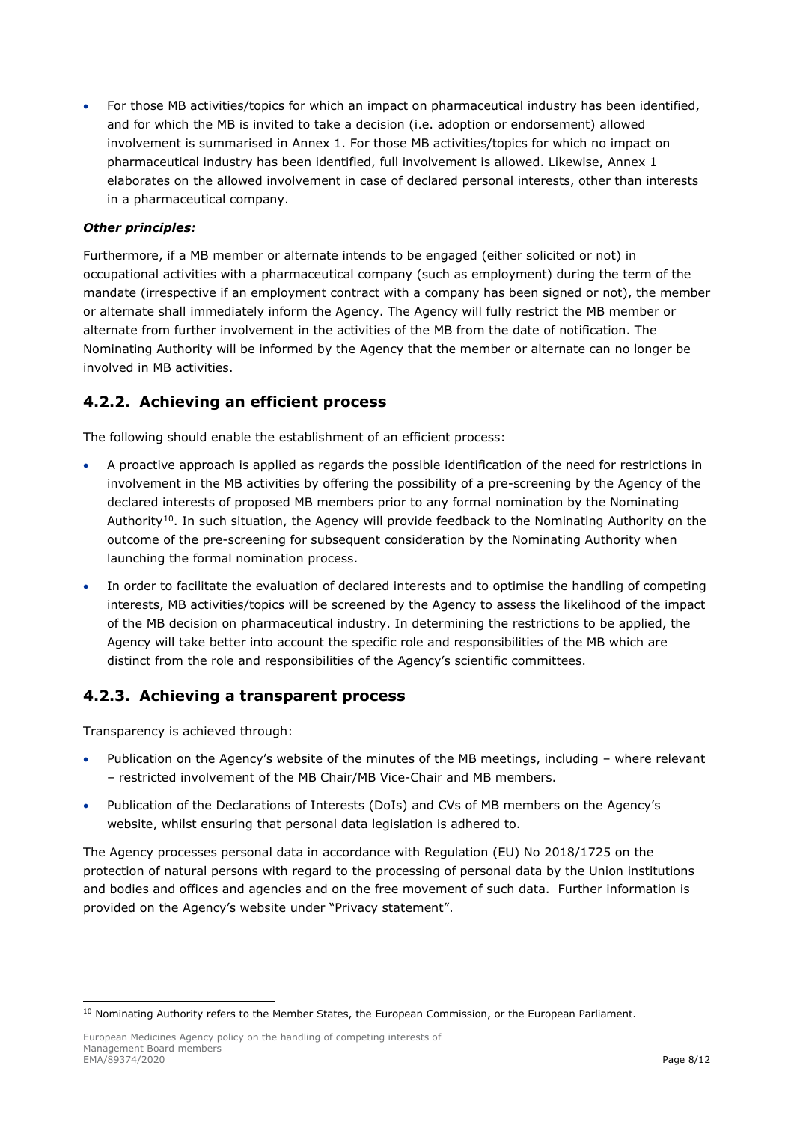• For those MB activities/topics for which an impact on pharmaceutical industry has been identified, and for which the MB is invited to take a decision (i.e. adoption or endorsement) allowed involvement is summarised in Annex 1. For those MB activities/topics for which no impact on pharmaceutical industry has been identified, full involvement is allowed. Likewise, Annex 1 elaborates on the allowed involvement in case of declared personal interests, other than interests in a pharmaceutical company.

#### *Other principles:*

Furthermore, if a MB member or alternate intends to be engaged (either solicited or not) in occupational activities with a pharmaceutical company (such as employment) during the term of the mandate (irrespective if an employment contract with a company has been signed or not), the member or alternate shall immediately inform the Agency. The Agency will fully restrict the MB member or alternate from further involvement in the activities of the MB from the date of notification. The Nominating Authority will be informed by the Agency that the member or alternate can no longer be involved in MB activities.

## **4.2.2. Achieving an efficient process**

The following should enable the establishment of an efficient process:

- A proactive approach is applied as regards the possible identification of the need for restrictions in involvement in the MB activities by offering the possibility of a pre-screening by the Agency of the declared interests of proposed MB members prior to any formal nomination by the Nominating Authority<sup>[10](#page-7-0)</sup>. In such situation, the Agency will provide feedback to the Nominating Authority on the outcome of the pre-screening for subsequent consideration by the Nominating Authority when launching the formal nomination process.
- In order to facilitate the evaluation of declared interests and to optimise the handling of competing interests, MB activities/topics will be screened by the Agency to assess the likelihood of the impact of the MB decision on pharmaceutical industry. In determining the restrictions to be applied, the Agency will take better into account the specific role and responsibilities of the MB which are distinct from the role and responsibilities of the Agency's scientific committees.

## **4.2.3. Achieving a transparent process**

Transparency is achieved through:

- Publication on the Agency's website of the minutes of the MB meetings, including where relevant – restricted involvement of the MB Chair/MB Vice-Chair and MB members.
- Publication of the Declarations of Interests (DoIs) and CVs of MB members on the Agency's website, whilst ensuring that personal data legislation is adhered to.

The Agency processes personal data in accordance with Regulation (EU) No 2018/1725 on the protection of natural persons with regard to the processing of personal data by the Union institutions and bodies and offices and agencies and on the free movement of such data. Further information is provided on the Agency's website under "Privacy statement".

<span id="page-7-0"></span><sup>&</sup>lt;sup>10</sup> Nominating Authority refers to the Member States, the European Commission, or the European Parliament.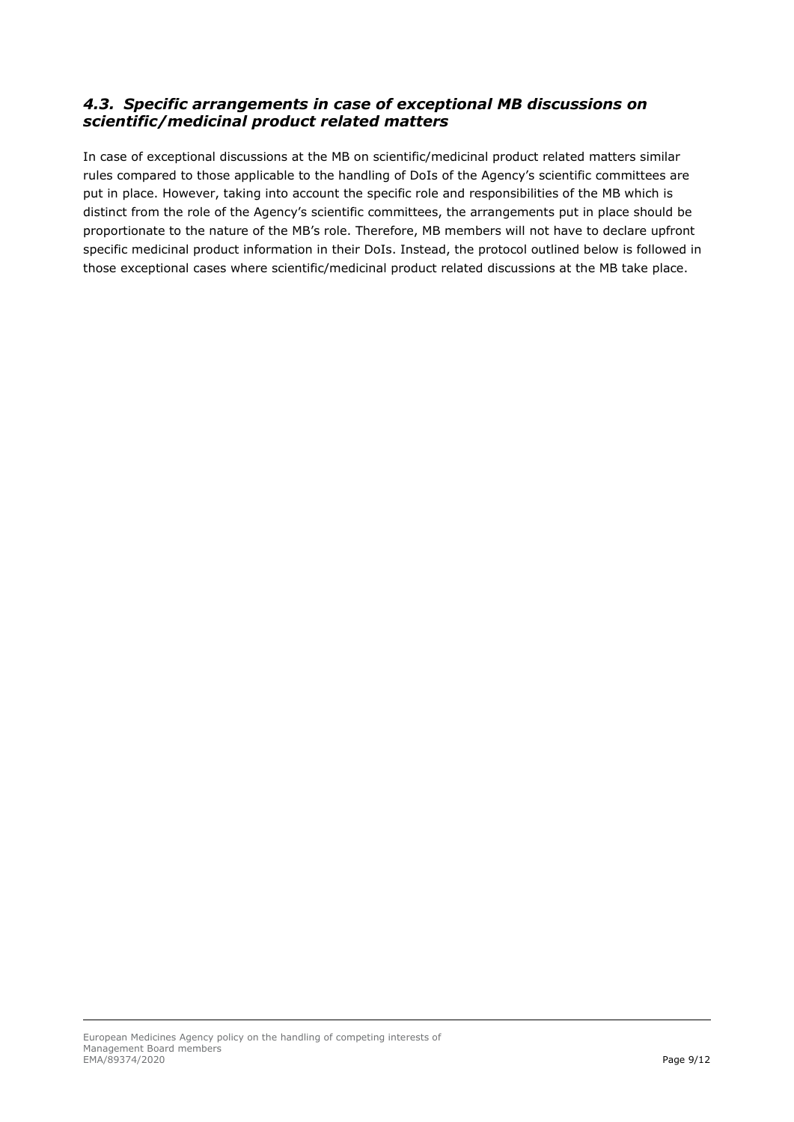## *4.3. Specific arrangements in case of exceptional MB discussions on scientific/medicinal product related matters*

In case of exceptional discussions at the MB on scientific/medicinal product related matters similar rules compared to those applicable to the handling of DoIs of the Agency's scientific committees are put in place. However, taking into account the specific role and responsibilities of the MB which is distinct from the role of the Agency's scientific committees, the arrangements put in place should be proportionate to the nature of the MB's role. Therefore, MB members will not have to declare upfront specific medicinal product information in their DoIs. Instead, the protocol outlined below is followed in those exceptional cases where scientific/medicinal product related discussions at the MB take place.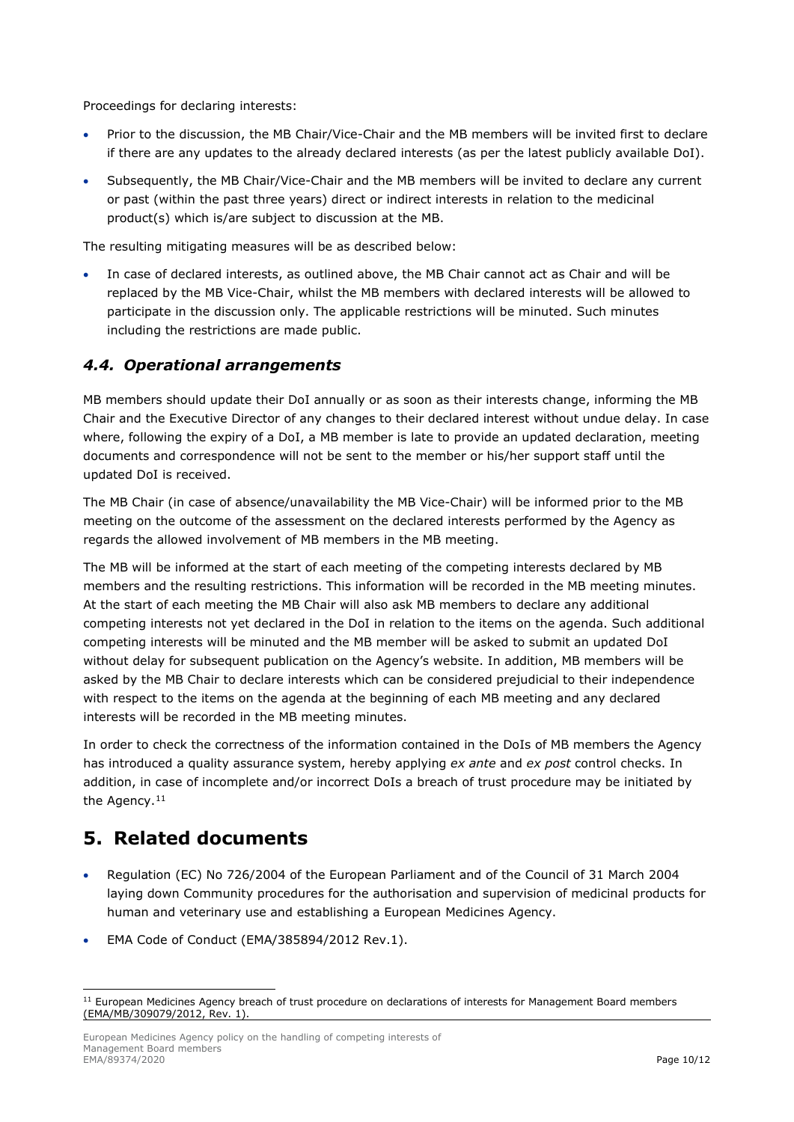Proceedings for declaring interests:

- Prior to the discussion, the MB Chair/Vice-Chair and the MB members will be invited first to declare if there are any updates to the already declared interests (as per the latest publicly available DoI).
- Subsequently, the MB Chair/Vice-Chair and the MB members will be invited to declare any current or past (within the past three years) direct or indirect interests in relation to the medicinal product(s) which is/are subject to discussion at the MB.

The resulting mitigating measures will be as described below:

• In case of declared interests, as outlined above, the MB Chair cannot act as Chair and will be replaced by the MB Vice-Chair, whilst the MB members with declared interests will be allowed to participate in the discussion only. The applicable restrictions will be minuted. Such minutes including the restrictions are made public.

### *4.4. Operational arrangements*

MB members should update their DoI annually or as soon as their interests change, informing the MB Chair and the Executive Director of any changes to their declared interest without undue delay. In case where, following the expiry of a DoI, a MB member is late to provide an updated declaration, meeting documents and correspondence will not be sent to the member or his/her support staff until the updated DoI is received.

The MB Chair (in case of absence/unavailability the MB Vice-Chair) will be informed prior to the MB meeting on the outcome of the assessment on the declared interests performed by the Agency as regards the allowed involvement of MB members in the MB meeting.

The MB will be informed at the start of each meeting of the competing interests declared by MB members and the resulting restrictions. This information will be recorded in the MB meeting minutes. At the start of each meeting the MB Chair will also ask MB members to declare any additional competing interests not yet declared in the DoI in relation to the items on the agenda. Such additional competing interests will be minuted and the MB member will be asked to submit an updated DoI without delay for subsequent publication on the Agency's website. In addition, MB members will be asked by the MB Chair to declare interests which can be considered prejudicial to their independence with respect to the items on the agenda at the beginning of each MB meeting and any declared interests will be recorded in the MB meeting minutes.

In order to check the correctness of the information contained in the DoIs of MB members the Agency has introduced a quality assurance system, hereby applying *ex ante* and *ex post* control checks. In addition, in case of incomplete and/or incorrect DoIs a breach of trust procedure may be initiated by the Agency.<sup>[11](#page-9-0)</sup>

## **5. Related documents**

- Regulation (EC) No 726/2004 of the European Parliament and of the Council of 31 March 2004 laying down Community procedures for the authorisation and supervision of medicinal products for human and veterinary use and establishing a European Medicines Agency.
- EMA Code of Conduct (EMA/385894/2012 Rev.1).

<span id="page-9-0"></span><sup>&</sup>lt;sup>11</sup> European Medicines Agency breach of trust procedure on declarations of interests for Management Board members (EMA/MB/309079/2012, Rev. 1).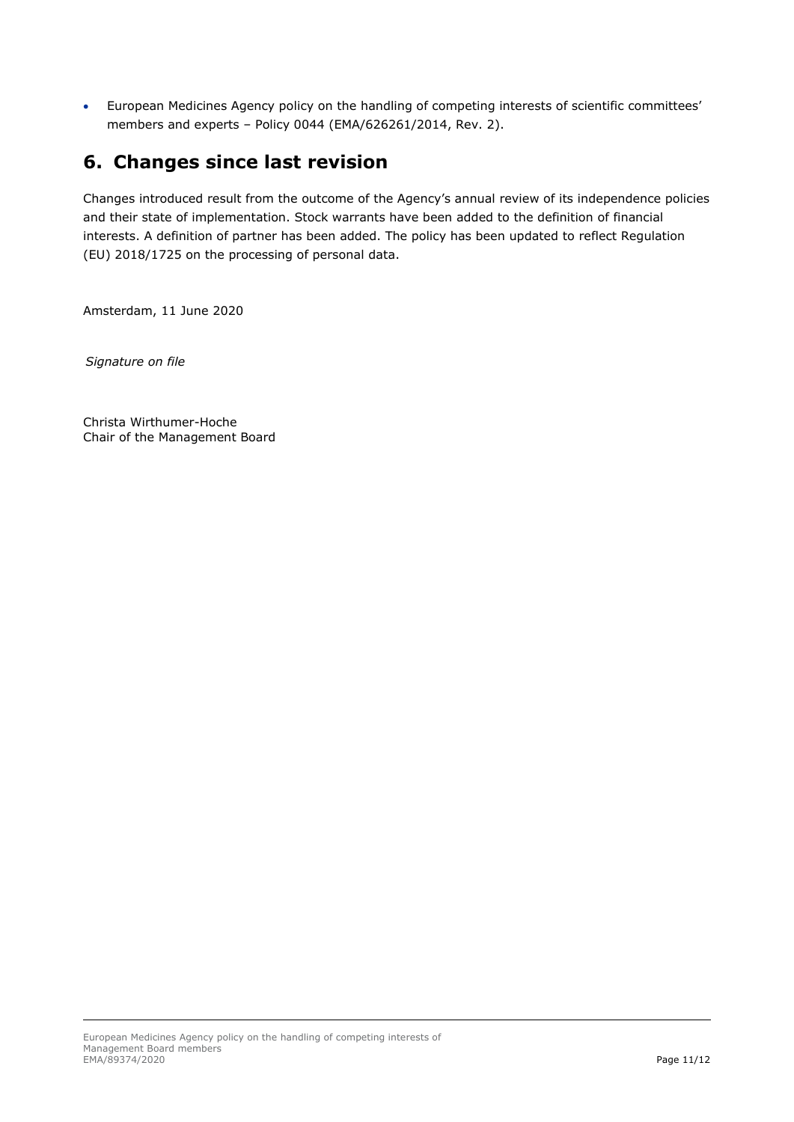• European Medicines Agency policy on the handling of competing interests of scientific committees' members and experts – Policy 0044 (EMA/626261/2014, Rev. 2).

# **6. Changes since last revision**

Changes introduced result from the outcome of the Agency's annual review of its independence policies and their state of implementation. Stock warrants have been added to the definition of financial interests. A definition of partner has been added. The policy has been updated to reflect Regulation (EU) 2018/1725 on the processing of personal data.

Amsterdam, 11 June 2020

*Signature on file*

Christa Wirthumer-Hoche Chair of the Management Board